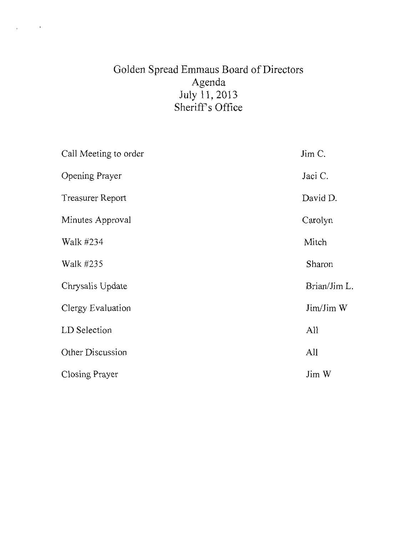# Golden Spread Emmaus Board of Directors Agenda July 11, 2013 Sheriff's Office

 $\sim 10^{11}$  km  $^{-1}$ 

 $\mathbf{r}$ 

| Call Meeting to order   | Jim C.       |
|-------------------------|--------------|
| Opening Prayer          | Jaci C.      |
| <b>Treasurer Report</b> | David D.     |
| Minutes Approval        | Carolyn      |
| Walk #234               | Mitch        |
| Walk #235               | Sharon       |
| Chrysalis Update        | Brian/Jim L. |
| Clergy Evaluation       | Jim/Jim W    |
| LD Selection            | All          |
| Other Discussion        | All          |
| Closing Prayer          | Jim W        |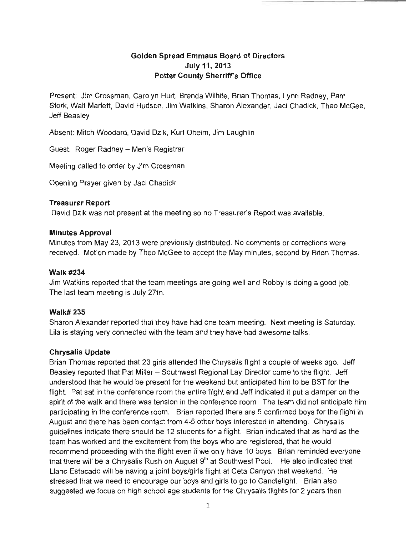## **Golden Spread Emmaus Board of Directors July** 11, **2013 Potter County Sherriffs Office**

Present: Jim Crossman, Carolyn Hurt, Brenda Wilhite, Brian Thomas, Lynn Radney, Pam Stork, Walt Marlett, David Hudson, Jim Watkins, Sharon Alexander, Jaci Chadick, Theo McGee, Jeff Beasley

Absent: Mitch Woodard, David Dzik, Kurt Oheim, Jim Laughlin

Guest: Roger Radney - Men's Registrar

Meeting called to order by Jim Crossman

Opening Prayer given by Jaci Chadick

#### **Treasurer Report**

David Dzik was not present at the meeting so no Treasurer's Report was available.

#### **Minutes Approval**

Minutes from May 23, 2013 were previously distributed. No comments or corrections were received. Motion made by Theo McGee to accept the May minutes, second by Brian Thomas.

#### **Walk #234**

Jim Watkins reported that the team meetings are going well and Robby is doing a good job. The last team meeting is July 27th.

#### **Walk# 235**

Sharon Alexander reported that they have had one team meeting. Next meeting is Saturday. Lila is staying very connected with the team and they have had awesome talks.

#### **Chrysalis Update**

Brian Thomas reported that 23 girls attended the Chrysalis flight a couple of weeks ago. Jeff Beasley reported that Pat Miller - Southwest Regional Lay Director came to the flight. Jeff understood that he would be present for the weekend but anticipated him to be BST for the flight. Pat sat in the conference room the entire flight and Jeff indicated it put a damper on the spirit of the walk and there was tension in the conference room. The team did not anticipate him participating in the conference room. Brian reported there are 5 confirmed boys for the flight in August and there has been contact from 4-5 other boys interested in attending. Chrysalis guidelines indicate there should be 12 students for a flight. Brian indicated that as hard as the team has worked and the excitement from the boys who are registered, that he would recommend proceeding with the flight even if we only have 10 boys. Brian reminded everyone that there will be a Chrysalis Rush on August  $9<sup>th</sup>$  at Southwest Pool. He also indicated that Llano Estacado will be having a joint boys/girls flight at Ceta Canyon that weekend. He stressed that we need to encourage our boys and girls to go to Candlelight. Brian also suggested we focus on high school age students for the Chrysalis flights for 2 years then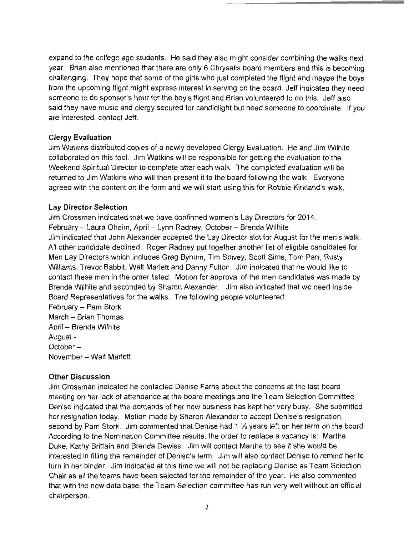expand to the college age students. He said they also might consider combining the walks next year. Brian also mentioned that there are only 6 Chrysalis board members and this is becoming challenging. They hope that some of the girls who just completed the flight and maybe the boys from the upcoming flight might express interest in serving on the board. Jeff indicated they need someone to do sponsor's hour for the boy's flight and Brian volunteered to do this. Jeff also said they have music and clergy secured for candlelight but need someone to coordinate. If you are interested, contact Jeff.

#### **Clergy Evaluation**

Jim Watkins distributed copies of a newly developed Clergy Evaluation. He and Jim Wilhite collaborated on this tool. Jim Watkins will be responsible for getting the evaluation to the Weekend Spiritual Director to complete after each walk. The completed evaluation will be returned to Jim Watkins who will then present it to the board following the walk. Everyone agreed with the content on the form and we will start using this for Robbie Kirkland's walk.

#### **Lay Director Selection**

Jim Crossman indicated that we have confirmed women's Lay Directors for 2014. February - Laura Oheim, April - Lynn Radney, October - Brenda Wilhite Jim indicated that John Alexander accepted the Lay Director slot for August for the men's walk. All other candidate declined. Roger Radney put together another list of eligible candidates for Men Lay Directors which includes Greg Bynum, Tim Spivey, Scott Sims, Tom Parr, Rusty Williams, Trevor Babbit, Walt Marlett and Danny Fulton. Jim indicated that he would like to contact these men in the order listed. Motion for approval of the men candidates was made by Brenda Wilhite and seconded by Sharon Alexander. Jim also indicated that we need Inside Board Representatives for the walks. The following people volunteered: February - Pam Stork

March - Brian Thomas April - Brenda Wilhite August October November - Walt Marlett

### **Other Discussion**

Jim Crossman indicated he contacted Denise Farris about the concerns at the last board meeting on her lack of attendance at the board meetings and the Team Selection Committee. Denise indicated that the demands of her new business has kept her very busy. She submitted her resignation today. Motion made by Sharon Alexander to accept Denise's resignation, second by Pam Stork. Jim commented that Denise had 1  $\frac{1}{2}$  years left on her term on the board. According to the Nomination Committee results, the order to replace a vacancy is: Martha Duke, Kathy Brittain and Brenda Dewiss. Jim will contact Martha to see if she would be interested in filling the remainder of Denise's term. Jim will also contact Denise to remind her to turn in her binder. Jim indicated at this time we will not be replacing Denise as Team Selection Chair as all the teams have been selected for the remainder of the year. He also commented that with the new data base, the Team Selection committee has run very well without an official chairperson.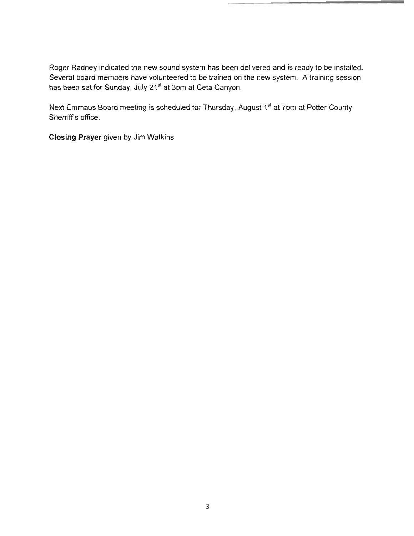Roger Radney indicated the new sound system has been delivered and is ready to be installed. Several board members have volunteered to be trained on the new system. A training session has been set for Sunday, July 21<sup>st</sup> at 3pm at Ceta Canyon.

Next Emmaus Board meeting is scheduled for Thursday, August 1<sup>st</sup> at 7pm at Potter County Sherriff's office.

**Closing Prayer** given by Jim Watkins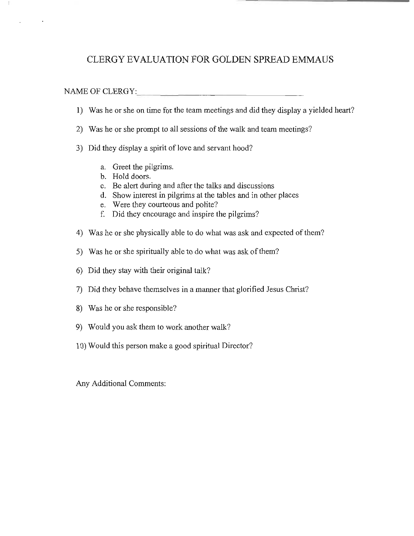# CLERGY EVALUATION FOR GOLDEN SPREAD EMMAUS

#### NAME OF CLERGY: \_

- 1) Was he or she on time for the team meetings and did they display a yielded heart?
- 2) Was he or she prompt to all sessions of the walk and team meetings?
- 3) Did they display a spirit of love and servant hood?
	- a. Greet the pilgrims.
	- b. Hold doors.
	- c. Be alert during and after the talks and discussions
	- d. Show interest in pilgrims at the tables and in other places
	- e. Were they courteous and polite?
	- f. Did they encourage and inspire the pilgrims?
- 4) Was he or she physically able to do what was ask and expected of them?
- 5) Was he or she spiritually able to do what was ask of them?
- 6) Did they stay with their original talk?
- 7) Did they behave themselves in a manner that glorified Jesus Christ?
- 8) Was he or she responsible?
- 9) Would you ask them to work another walk?
- 10) Would this person make a good spiritual Director?

Any Additional Comments: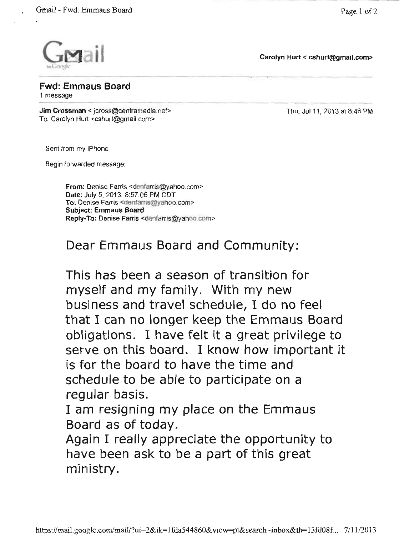Gmail - Fwd: Emmaus Board Page 1 of 2



---------------------- Carolyn Hurt < cshurt@gmail.com>



**Fwd: Emmaus Board**<br>1 message<br>Jim Crossman < icross@centramedia 1 message

Jim Crossman < jcross@centramedia.net> Thu, Ju111, 2013 at 8:46 PM To: Carolyn Hurt <cshurt@gmail.com>

Sent from my iPhone

Begin forwarded message:

From: Denise Farris <denfarris@yahoo.com> Date: July 5, 2013, 8:57:06 PM CDT To: Denise Farris <dentarris@yahoo.com> Subject: Emmaus Board Reply-To: Denise Farris <denfarris@yahoo.com>

Dear Emmaus Board and Community:

This has been a season of transition for myself and my family. With my new business and travel schedule, I do no feel that I can no longer keep the Emmaus Board obligations. I have felt it a great privilege to serve on this board. I know how important it is for the board to have the time and schedule to be able to participate on a regular basis.

I am resigning my place on the Emmaus Board as of today.

Again I really appreciate the opportunity to have been ask to be a part of this great ministry.